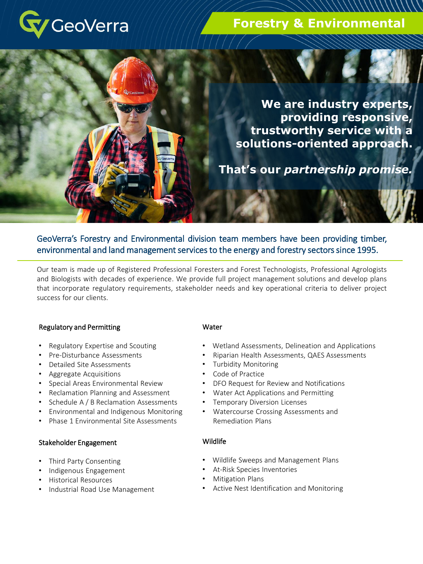

# **Forestry & Environmental**

**We are industry experts, providing responsive, trustworthy service with a solutions-oriented approach.** 

**That's our** *partnership promise.*

GeoVerra's Forestry and Environmental division team members have been providing timber, environmental and land management services to the energy and forestry sectors since 1995.

Our team is made up of Registered Professional Foresters and Forest Technologists, Professional Agrologists and Biologists with decades of experience. We provide full project management solutions and develop plans that incorporate regulatory requirements, stakeholder needs and key operational criteria to deliver project success for our clients.

### Regulatory and Permitting

- Regulatory Expertise and Scouting
- Pre-Disturbance Assessments
- Detailed Site Assessments
- Aggregate Acquisitions
- Special Areas Environmental Review
- Reclamation Planning and Assessment
- Schedule A / B Reclamation Assessments
- Environmental and Indigenous Monitoring
- Phase 1 Environmental Site Assessments

## Stakeholder Engagement

- Third Party Consenting
- Indigenous Engagement
- Historical Resources
- Industrial Road Use Management

## Water

- Wetland Assessments, Delineation and Applications
- Riparian Health Assessments, QAES Assessments
- Turbidity Monitoring
- Code of Practice
- DFO Request for Review and Notifications
- Water Act Applications and Permitting
- Temporary Diversion Licenses
- Watercourse Crossing Assessments and Remediation Plans

## Wildlife

- Wildlife Sweeps and Management Plans
- At-Risk Species Inventories
- Mitigation Plans
- Active Nest Identification and Monitoring